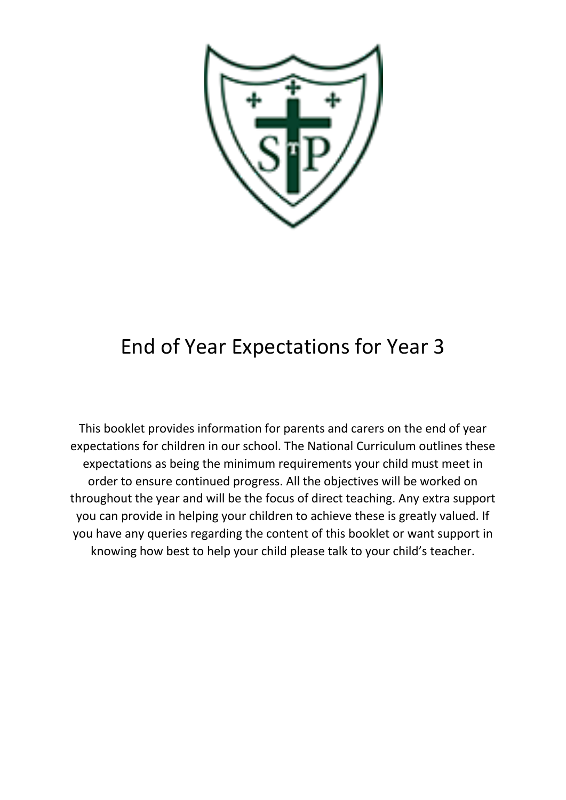

# End of Year Expectations for Year 3

This booklet provides information for parents and carers on the end of year expectations for children in our school. The National Curriculum outlines these expectations as being the minimum requirements your child must meet in order to ensure continued progress. All the objectives will be worked on throughout the year and will be the focus of direct teaching. Any extra support you can provide in helping your children to achieve these is greatly valued. If you have any queries regarding the content of this booklet or want support in knowing how best to help your child please talk to your child's teacher.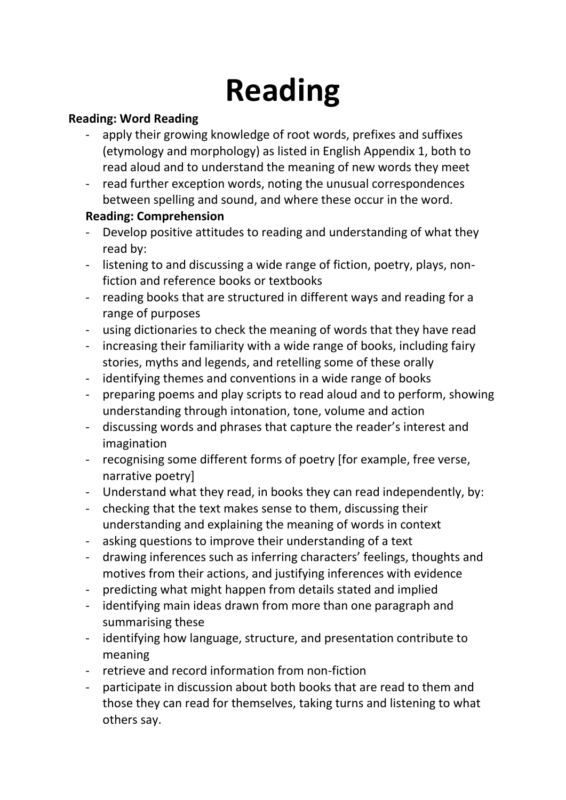# **Reading**

#### **Reading: Word Reading**

- apply their growing knowledge of root words, prefixes and suffixes (etymology and morphology) as listed in English Appendix 1, both to read aloud and to understand the meaning of new words they meet
- read further exception words, noting the unusual correspondences between spelling and sound, and where these occur in the word.

#### **Reading: Comprehension**

- Develop positive attitudes to reading and understanding of what they read by:
- listening to and discussing a wide range of fiction, poetry, plays, nonfiction and reference books or textbooks
- reading books that are structured in different ways and reading for a range of purposes
- using dictionaries to check the meaning of words that they have read
- increasing their familiarity with a wide range of books, including fairy stories, myths and legends, and retelling some of these orally
- identifying themes and conventions in a wide range of books
- preparing poems and play scripts to read aloud and to perform, showing understanding through intonation, tone, volume and action
- discussing words and phrases that capture the reader's interest and imagination
- recognising some different forms of poetry [for example, free verse, narrative poetry]
- Understand what they read, in books they can read independently, by:
- checking that the text makes sense to them, discussing their understanding and explaining the meaning of words in context
- asking questions to improve their understanding of a text
- drawing inferences such as inferring characters' feelings, thoughts and motives from their actions, and justifying inferences with evidence
- predicting what might happen from details stated and implied
- identifying main ideas drawn from more than one paragraph and summarising these
- identifying how language, structure, and presentation contribute to meaning
- retrieve and record information from non-fiction
- participate in discussion about both books that are read to them and those they can read for themselves, taking turns and listening to what others say.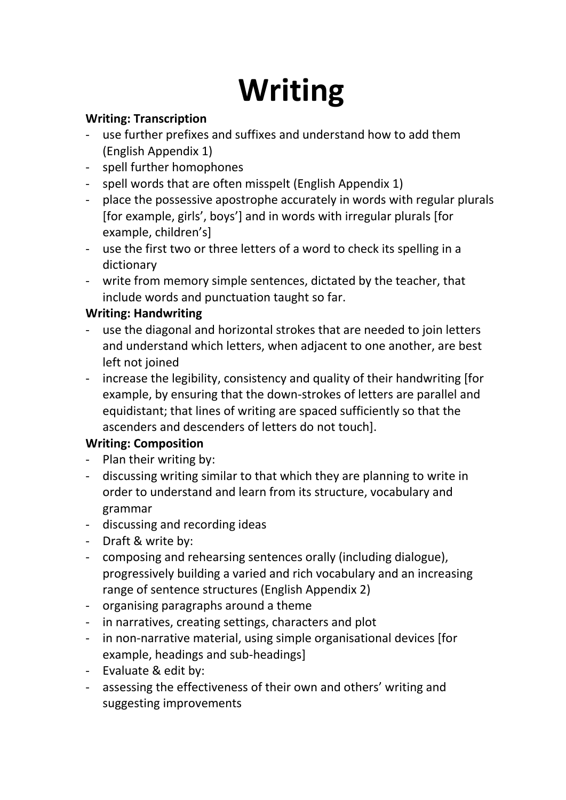# **Writing**

## **Writing: Transcription**

- use further prefixes and suffixes and understand how to add them (English Appendix 1)
- spell further homophones
- spell words that are often misspelt (English Appendix 1)
- place the possessive apostrophe accurately in words with regular plurals [for example, girls', boys'] and in words with irregular plurals [for example, children's]
- use the first two or three letters of a word to check its spelling in a dictionary
- write from memory simple sentences, dictated by the teacher, that include words and punctuation taught so far.

# **Writing: Handwriting**

- use the diagonal and horizontal strokes that are needed to join letters and understand which letters, when adjacent to one another, are best left not joined
- increase the legibility, consistency and quality of their handwriting [for example, by ensuring that the down-strokes of letters are parallel and equidistant; that lines of writing are spaced sufficiently so that the ascenders and descenders of letters do not touch].

# **Writing: Composition**

- Plan their writing by:
- discussing writing similar to that which they are planning to write in order to understand and learn from its structure, vocabulary and grammar
- discussing and recording ideas
- Draft & write by:
- composing and rehearsing sentences orally (including dialogue), progressively building a varied and rich vocabulary and an increasing range of sentence structures (English Appendix 2)
- organising paragraphs around a theme
- in narratives, creating settings, characters and plot
- in non-narrative material, using simple organisational devices [for example, headings and sub-headings]
- Evaluate & edit by:
- assessing the effectiveness of their own and others' writing and suggesting improvements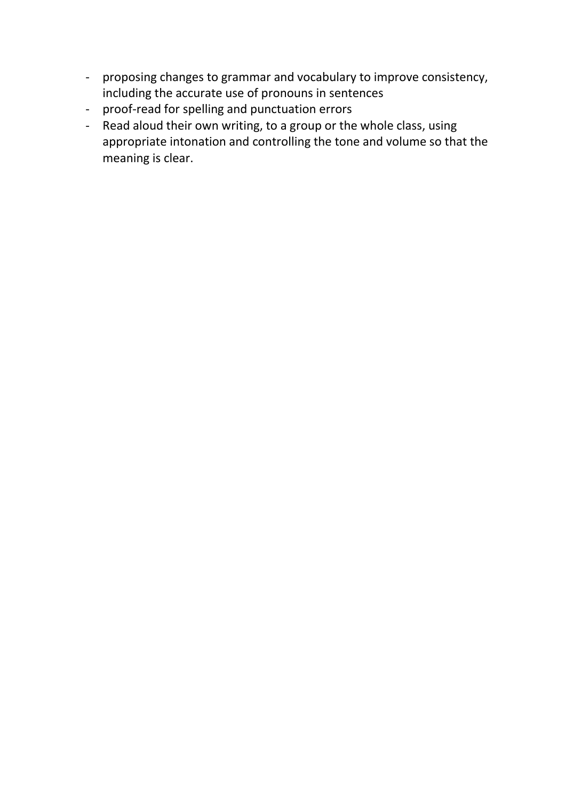- proposing changes to grammar and vocabulary to improve consistency, including the accurate use of pronouns in sentences
- proof-read for spelling and punctuation errors
- Read aloud their own writing, to a group or the whole class, using appropriate intonation and controlling the tone and volume so that the meaning is clear.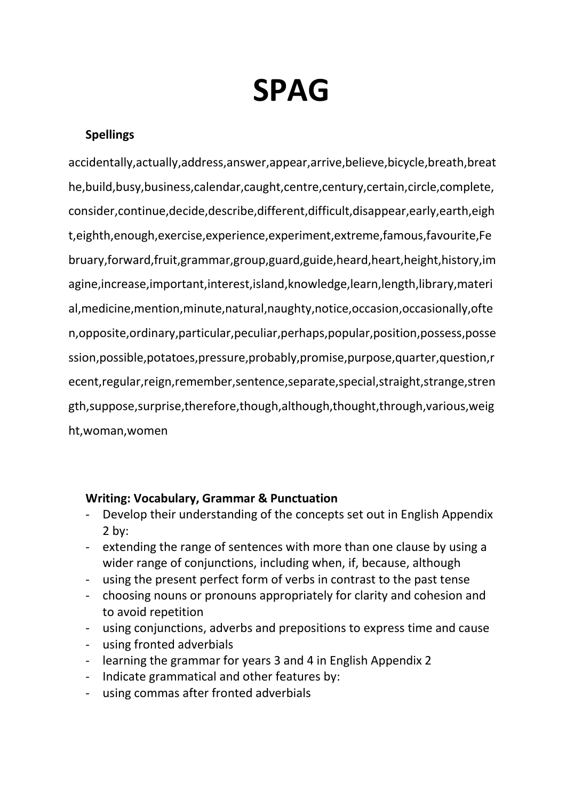# **SPAG**

## **Spellings**

accidentally,actually,address,answer,appear,arrive,believe,bicycle,breath,breat he,build,busy,business,calendar,caught,centre,century,certain,circle,complete, consider,continue,decide,describe,different,difficult,disappear,early,earth,eigh t,eighth,enough,exercise,experience,experiment,extreme,famous,favourite,Fe bruary,forward,fruit,grammar,group,guard,guide,heard,heart,height,history,im agine,increase,important,interest,island,knowledge,learn,length,library,materi al,medicine,mention,minute,natural,naughty,notice,occasion,occasionally,ofte n,opposite,ordinary,particular,peculiar,perhaps,popular,position,possess,posse ssion,possible,potatoes,pressure,probably,promise,purpose,quarter,question,r ecent,regular,reign,remember,sentence,separate,special,straight,strange,stren gth,suppose,surprise,therefore,though,although,thought,through,various,weig ht,woman,women

#### **Writing: Vocabulary, Grammar & Punctuation**

- Develop their understanding of the concepts set out in English Appendix  $2$  by:
- extending the range of sentences with more than one clause by using a wider range of conjunctions, including when, if, because, although
- using the present perfect form of verbs in contrast to the past tense
- choosing nouns or pronouns appropriately for clarity and cohesion and to avoid repetition
- using conjunctions, adverbs and prepositions to express time and cause
- using fronted adverbials
- learning the grammar for years 3 and 4 in English Appendix 2
- Indicate grammatical and other features by:
- using commas after fronted adverbials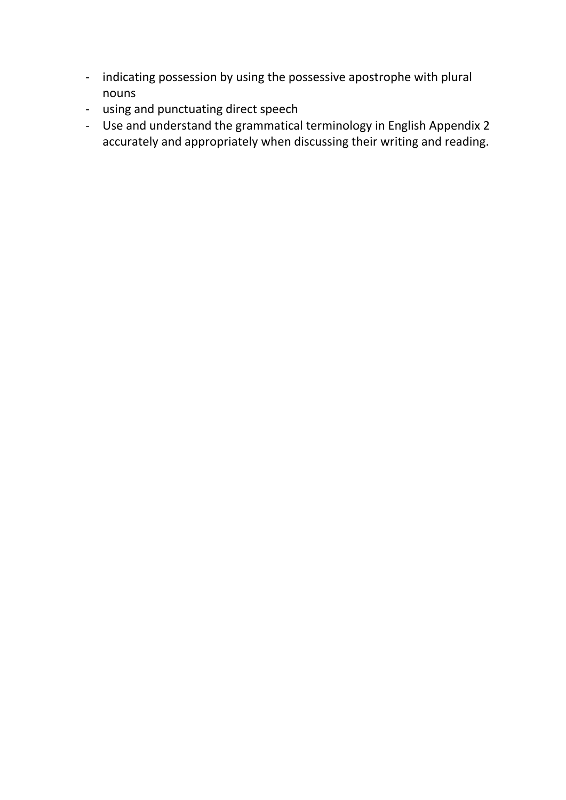- indicating possession by using the possessive apostrophe with plural nouns
- using and punctuating direct speech
- Use and understand the grammatical terminology in English Appendix 2 accurately and appropriately when discussing their writing and reading.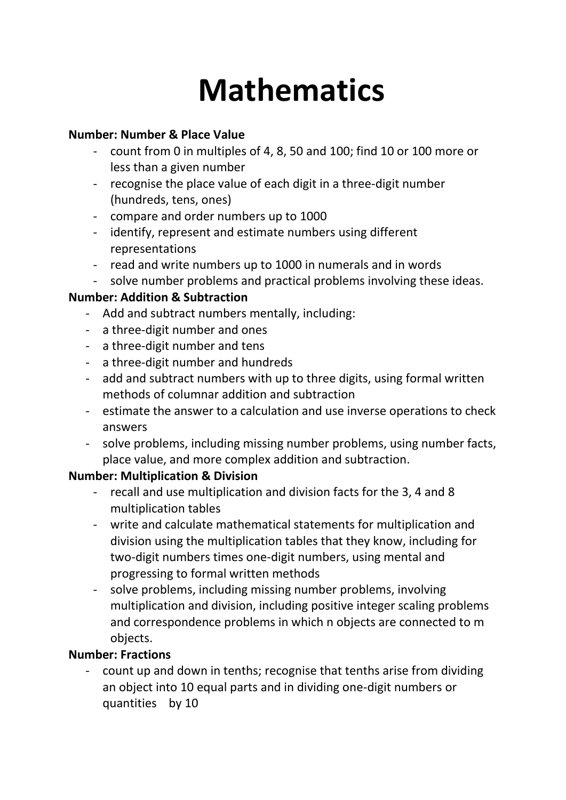# **Mathematics**

#### **Number: Number & Place Value**

- count from 0 in multiples of 4, 8, 50 and 100; find 10 or 100 more or less than a given number
- recognise the place value of each digit in a three-digit number (hundreds, tens, ones)
- compare and order numbers up to 1000
- identify, represent and estimate numbers using different representations
- read and write numbers up to 1000 in numerals and in words
- solve number problems and practical problems involving these ideas.

# **Number: Addition & Subtraction**

- Add and subtract numbers mentally, including:
- a three-digit number and ones
- a three-digit number and tens
- a three-digit number and hundreds
- add and subtract numbers with up to three digits, using formal written methods of columnar addition and subtraction
- estimate the answer to a calculation and use inverse operations to check answers
- solve problems, including missing number problems, using number facts, place value, and more complex addition and subtraction.

# **Number: Multiplication & Division**

- recall and use multiplication and division facts for the 3, 4 and 8 multiplication tables
- write and calculate mathematical statements for multiplication and division using the multiplication tables that they know, including for two-digit numbers times one-digit numbers, using mental and progressing to formal written methods
- solve problems, including missing number problems, involving multiplication and division, including positive integer scaling problems and correspondence problems in which n objects are connected to m objects.

# **Number: Fractions**

- count up and down in tenths; recognise that tenths arise from dividing an object into 10 equal parts and in dividing one-digit numbers or quantities by 10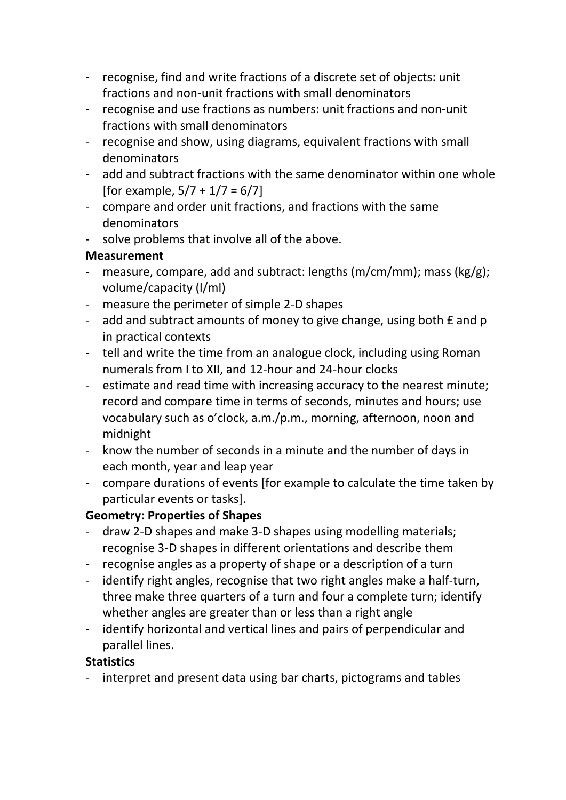- recognise, find and write fractions of a discrete set of objects: unit fractions and non-unit fractions with small denominators
- recognise and use fractions as numbers: unit fractions and non-unit fractions with small denominators
- recognise and show, using diagrams, equivalent fractions with small denominators
- add and subtract fractions with the same denominator within one whole [for example,  $5/7 + 1/7 = 6/7$ ]
- compare and order unit fractions, and fractions with the same denominators
- solve problems that involve all of the above.

### **Measurement**

- measure, compare, add and subtract: lengths  $(m/cm/mm)$ ; mass  $(kg/g)$ ; volume/capacity (l/ml)
- measure the perimeter of simple 2-D shapes
- add and subtract amounts of money to give change, using both £ and p in practical contexts
- tell and write the time from an analogue clock, including using Roman numerals from I to XII, and 12-hour and 24-hour clocks
- estimate and read time with increasing accuracy to the nearest minute; record and compare time in terms of seconds, minutes and hours; use vocabulary such as o'clock, a.m./p.m., morning, afternoon, noon and midnight
- know the number of seconds in a minute and the number of days in each month, year and leap year
- compare durations of events [for example to calculate the time taken by particular events or tasks].

### **Geometry: Properties of Shapes**

- draw 2-D shapes and make 3-D shapes using modelling materials; recognise 3-D shapes in different orientations and describe them
- recognise angles as a property of shape or a description of a turn
- identify right angles, recognise that two right angles make a half-turn, three make three quarters of a turn and four a complete turn; identify whether angles are greater than or less than a right angle
- identify horizontal and vertical lines and pairs of perpendicular and parallel lines.

### **Statistics**

- interpret and present data using bar charts, pictograms and tables